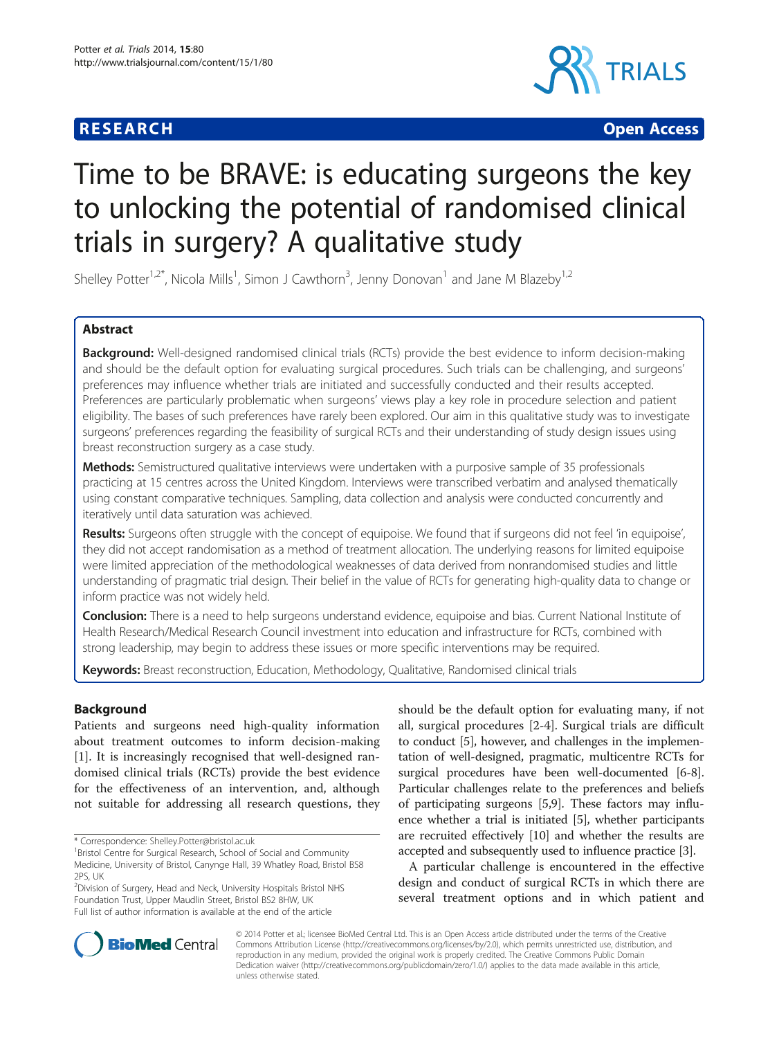# **RESEARCH CHE Open Access**



# Time to be BRAVE: is educating surgeons the key to unlocking the potential of randomised clinical trials in surgery? A qualitative study

Shelley Potter<sup>1,2\*</sup>, Nicola Mills<sup>1</sup>, Simon J Cawthorn<sup>3</sup>, Jenny Donovan<sup>1</sup> and Jane M Blazeby<sup>1,2</sup>

# Abstract

Background: Well-designed randomised clinical trials (RCTs) provide the best evidence to inform decision-making and should be the default option for evaluating surgical procedures. Such trials can be challenging, and surgeons' preferences may influence whether trials are initiated and successfully conducted and their results accepted. Preferences are particularly problematic when surgeons' views play a key role in procedure selection and patient eligibility. The bases of such preferences have rarely been explored. Our aim in this qualitative study was to investigate surgeons' preferences regarding the feasibility of surgical RCTs and their understanding of study design issues using breast reconstruction surgery as a case study.

Methods: Semistructured qualitative interviews were undertaken with a purposive sample of 35 professionals practicing at 15 centres across the United Kingdom. Interviews were transcribed verbatim and analysed thematically using constant comparative techniques. Sampling, data collection and analysis were conducted concurrently and iteratively until data saturation was achieved.

Results: Surgeons often struggle with the concept of equipoise. We found that if surgeons did not feel 'in equipoise', they did not accept randomisation as a method of treatment allocation. The underlying reasons for limited equipoise were limited appreciation of the methodological weaknesses of data derived from nonrandomised studies and little understanding of pragmatic trial design. Their belief in the value of RCTs for generating high-quality data to change or inform practice was not widely held.

Conclusion: There is a need to help surgeons understand evidence, equipoise and bias. Current National Institute of Health Research/Medical Research Council investment into education and infrastructure for RCTs, combined with strong leadership, may begin to address these issues or more specific interventions may be required.

Keywords: Breast reconstruction, Education, Methodology, Qualitative, Randomised clinical trials

# **Background**

Patients and surgeons need high-quality information about treatment outcomes to inform decision-making [[1\]](#page-7-0). It is increasingly recognised that well-designed randomised clinical trials (RCTs) provide the best evidence for the effectiveness of an intervention, and, although not suitable for addressing all research questions, they

2PS, UK <sup>2</sup> Division of Surgery, Head and Neck, University Hospitals Bristol NHS Foundation Trust, Upper Maudlin Street, Bristol BS2 8HW, UK Full list of author information is available at the end of the article

should be the default option for evaluating many, if not all, surgical procedures [[2-4](#page-7-0)]. Surgical trials are difficult to conduct [[5](#page-7-0)], however, and challenges in the implementation of well-designed, pragmatic, multicentre RCTs for surgical procedures have been well-documented [\[6](#page-7-0)-[8](#page-7-0)]. Particular challenges relate to the preferences and beliefs of participating surgeons [[5,9](#page-7-0)]. These factors may influence whether a trial is initiated [\[5](#page-7-0)], whether participants are recruited effectively [[10](#page-7-0)] and whether the results are accepted and subsequently used to influence practice [\[3](#page-7-0)].

A particular challenge is encountered in the effective design and conduct of surgical RCTs in which there are several treatment options and in which patient and



© 2014 Potter et al.; licensee BioMed Central Ltd. This is an Open Access article distributed under the terms of the Creative Commons Attribution License [\(http://creativecommons.org/licenses/by/2.0\)](http://creativecommons.org/licenses/by/2.0), which permits unrestricted use, distribution, and reproduction in any medium, provided the original work is properly credited. The Creative Commons Public Domain Dedication waiver [\(http://creativecommons.org/publicdomain/zero/1.0/](http://creativecommons.org/publicdomain/zero/1.0/)) applies to the data made available in this article, unless otherwise stated.

<sup>\*</sup> Correspondence: [Shelley.Potter@bristol.ac.uk](mailto:Shelley.Potter@bristol.ac.uk) <sup>1</sup>

<sup>&</sup>lt;sup>1</sup>Bristol Centre for Surgical Research, School of Social and Community Medicine, University of Bristol, Canynge Hall, 39 Whatley Road, Bristol BS8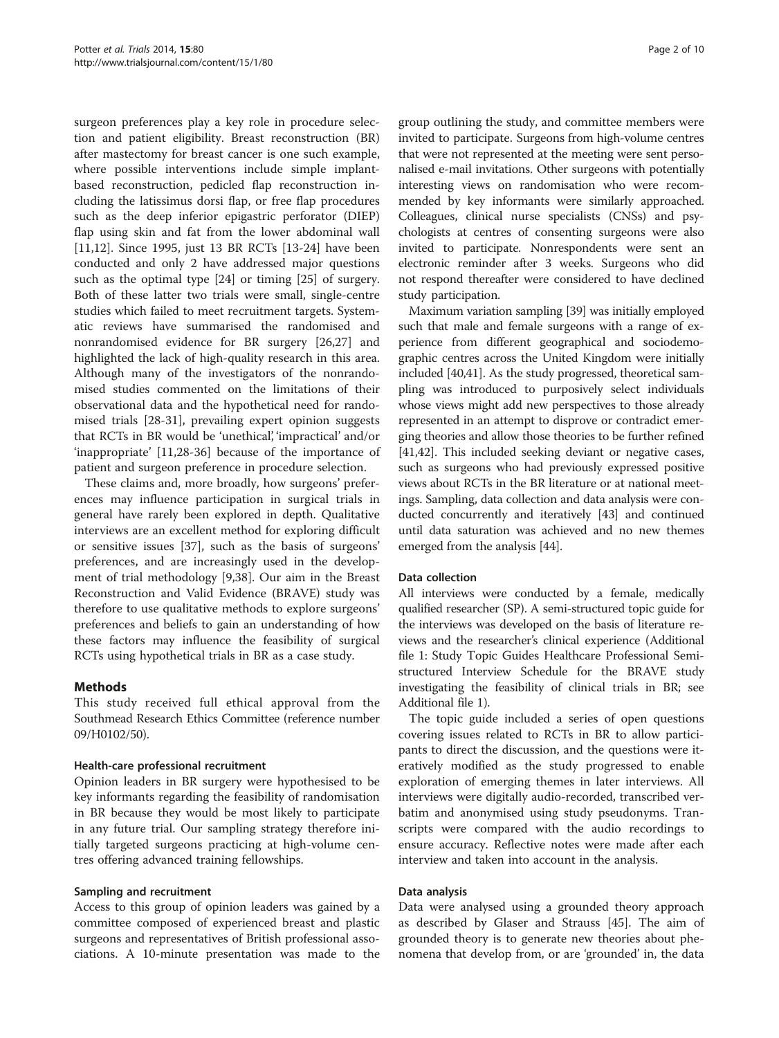surgeon preferences play a key role in procedure selection and patient eligibility. Breast reconstruction (BR) after mastectomy for breast cancer is one such example, where possible interventions include simple implantbased reconstruction, pedicled flap reconstruction including the latissimus dorsi flap, or free flap procedures such as the deep inferior epigastric perforator (DIEP) flap using skin and fat from the lower abdominal wall [[11,12\]](#page-7-0). Since 1995, just 13 BR RCTs [[13-24\]](#page-7-0) have been conducted and only 2 have addressed major questions such as the optimal type [\[24\]](#page-7-0) or timing [[25\]](#page-7-0) of surgery. Both of these latter two trials were small, single-centre studies which failed to meet recruitment targets. Systematic reviews have summarised the randomised and nonrandomised evidence for BR surgery [\[26,27](#page-7-0)] and highlighted the lack of high-quality research in this area. Although many of the investigators of the nonrandomised studies commented on the limitations of their observational data and the hypothetical need for randomised trials [\[28-](#page-7-0)[31](#page-8-0)], prevailing expert opinion suggests that RCTs in BR would be 'unethical', 'impractical' and/or 'inappropriate' [\[11,28](#page-7-0)[-36](#page-8-0)] because of the importance of patient and surgeon preference in procedure selection.

These claims and, more broadly, how surgeons' preferences may influence participation in surgical trials in general have rarely been explored in depth. Qualitative interviews are an excellent method for exploring difficult or sensitive issues [\[37\]](#page-8-0), such as the basis of surgeons' preferences, and are increasingly used in the development of trial methodology [[9,](#page-7-0)[38\]](#page-8-0). Our aim in the Breast Reconstruction and Valid Evidence (BRAVE) study was therefore to use qualitative methods to explore surgeons' preferences and beliefs to gain an understanding of how these factors may influence the feasibility of surgical RCTs using hypothetical trials in BR as a case study.

# Methods

This study received full ethical approval from the Southmead Research Ethics Committee (reference number 09/H0102/50).

# Health-care professional recruitment

Opinion leaders in BR surgery were hypothesised to be key informants regarding the feasibility of randomisation in BR because they would be most likely to participate in any future trial. Our sampling strategy therefore initially targeted surgeons practicing at high-volume centres offering advanced training fellowships.

# Sampling and recruitment

Access to this group of opinion leaders was gained by a committee composed of experienced breast and plastic surgeons and representatives of British professional associations. A 10-minute presentation was made to the group outlining the study, and committee members were invited to participate. Surgeons from high-volume centres that were not represented at the meeting were sent personalised e-mail invitations. Other surgeons with potentially interesting views on randomisation who were recommended by key informants were similarly approached. Colleagues, clinical nurse specialists (CNSs) and psychologists at centres of consenting surgeons were also invited to participate. Nonrespondents were sent an electronic reminder after 3 weeks. Surgeons who did not respond thereafter were considered to have declined study participation.

Maximum variation sampling [[39](#page-8-0)] was initially employed such that male and female surgeons with a range of experience from different geographical and sociodemographic centres across the United Kingdom were initially included [[40,41](#page-8-0)]. As the study progressed, theoretical sampling was introduced to purposively select individuals whose views might add new perspectives to those already represented in an attempt to disprove or contradict emerging theories and allow those theories to be further refined [[41](#page-8-0),[42](#page-8-0)]. This included seeking deviant or negative cases, such as surgeons who had previously expressed positive views about RCTs in the BR literature or at national meetings. Sampling, data collection and data analysis were conducted concurrently and iteratively [\[43\]](#page-8-0) and continued until data saturation was achieved and no new themes emerged from the analysis [\[44](#page-8-0)].

# Data collection

All interviews were conducted by a female, medically qualified researcher (SP). A semi-structured topic guide for the interviews was developed on the basis of literature reviews and the researcher's clinical experience (Additional file [1:](#page-6-0) Study Topic Guides Healthcare Professional Semistructured Interview Schedule for the BRAVE study investigating the feasibility of clinical trials in BR; see Additional file [1\)](#page-6-0).

The topic guide included a series of open questions covering issues related to RCTs in BR to allow participants to direct the discussion, and the questions were iteratively modified as the study progressed to enable exploration of emerging themes in later interviews. All interviews were digitally audio-recorded, transcribed verbatim and anonymised using study pseudonyms. Transcripts were compared with the audio recordings to ensure accuracy. Reflective notes were made after each interview and taken into account in the analysis.

## Data analysis

Data were analysed using a grounded theory approach as described by Glaser and Strauss [[45\]](#page-8-0). The aim of grounded theory is to generate new theories about phenomena that develop from, or are 'grounded' in, the data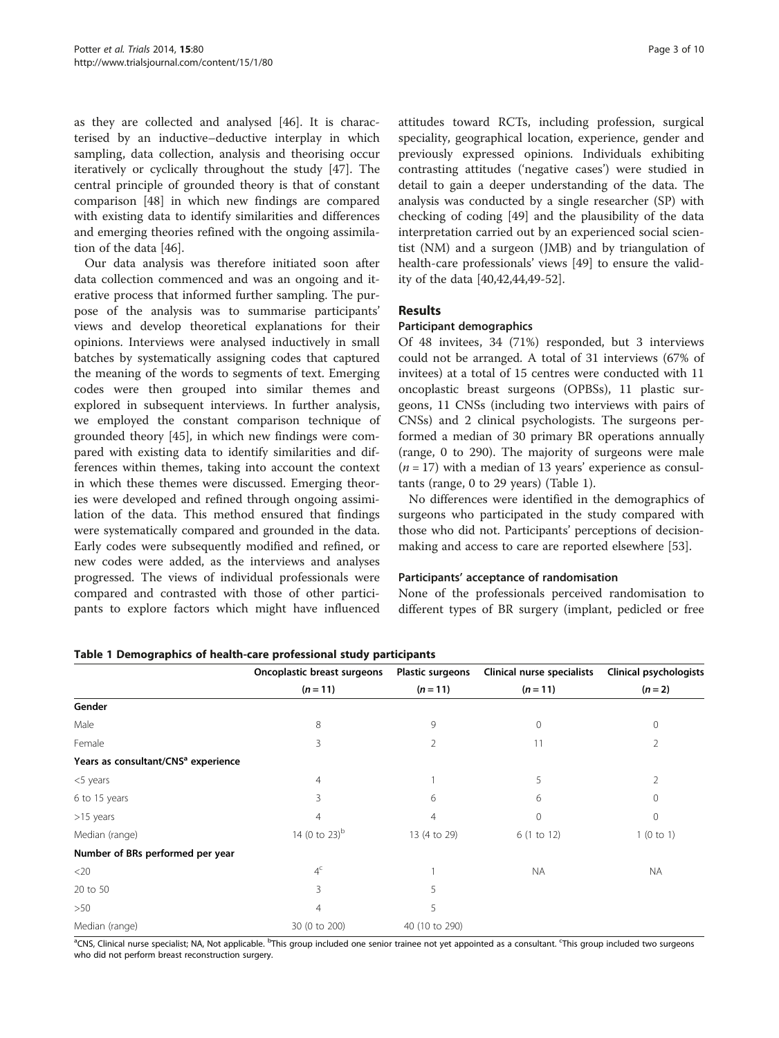as they are collected and analysed [\[46](#page-8-0)]. It is characterised by an inductive–deductive interplay in which sampling, data collection, analysis and theorising occur iteratively or cyclically throughout the study [\[47](#page-8-0)]. The central principle of grounded theory is that of constant comparison [[48\]](#page-8-0) in which new findings are compared with existing data to identify similarities and differences and emerging theories refined with the ongoing assimilation of the data [[46\]](#page-8-0).

Our data analysis was therefore initiated soon after data collection commenced and was an ongoing and iterative process that informed further sampling. The purpose of the analysis was to summarise participants' views and develop theoretical explanations for their opinions. Interviews were analysed inductively in small batches by systematically assigning codes that captured the meaning of the words to segments of text. Emerging codes were then grouped into similar themes and explored in subsequent interviews. In further analysis, we employed the constant comparison technique of grounded theory [\[45\]](#page-8-0), in which new findings were compared with existing data to identify similarities and differences within themes, taking into account the context in which these themes were discussed. Emerging theories were developed and refined through ongoing assimilation of the data. This method ensured that findings were systematically compared and grounded in the data. Early codes were subsequently modified and refined, or new codes were added, as the interviews and analyses progressed. The views of individual professionals were compared and contrasted with those of other participants to explore factors which might have influenced

attitudes toward RCTs, including profession, surgical speciality, geographical location, experience, gender and previously expressed opinions. Individuals exhibiting contrasting attitudes ('negative cases') were studied in detail to gain a deeper understanding of the data. The analysis was conducted by a single researcher (SP) with checking of coding [\[49](#page-8-0)] and the plausibility of the data interpretation carried out by an experienced social scientist (NM) and a surgeon (JMB) and by triangulation of health-care professionals' views [[49](#page-8-0)] to ensure the validity of the data [[40,42,44,49-52\]](#page-8-0).

# Results

## Participant demographics

Of 48 invitees, 34 (71%) responded, but 3 interviews could not be arranged. A total of 31 interviews (67% of invitees) at a total of 15 centres were conducted with 11 oncoplastic breast surgeons (OPBSs), 11 plastic surgeons, 11 CNSs (including two interviews with pairs of CNSs) and 2 clinical psychologists. The surgeons performed a median of 30 primary BR operations annually (range, 0 to 290). The majority of surgeons were male  $(n = 17)$  with a median of 13 years' experience as consultants (range, 0 to 29 years) (Table 1).

No differences were identified in the demographics of surgeons who participated in the study compared with those who did not. Participants' perceptions of decisionmaking and access to care are reported elsewhere [\[53\]](#page-8-0).

# Participants' acceptance of randomisation

None of the professionals perceived randomisation to different types of BR surgery (implant, pedicled or free

|                                                 | Oncoplastic breast surgeons<br>$(n = 11)$ | <b>Plastic surgeons</b><br>$(n = 11)$ | Clinical nurse specialists<br>$(n = 11)$ | <b>Clinical psychologists</b><br>$(n = 2)$ |
|-------------------------------------------------|-------------------------------------------|---------------------------------------|------------------------------------------|--------------------------------------------|
|                                                 |                                           |                                       |                                          |                                            |
| Gender                                          |                                           |                                       |                                          |                                            |
| Male                                            | 8                                         | 9                                     | 0                                        | 0                                          |
| Female                                          | 3                                         | $\overline{2}$                        | 11                                       | 2                                          |
| Years as consultant/CNS <sup>a</sup> experience |                                           |                                       |                                          |                                            |
| <5 years                                        | 4                                         |                                       | 5                                        | 2                                          |
| 6 to 15 years                                   | 3                                         | 6                                     | 6                                        | $\Omega$                                   |
| $>15$ years                                     | 4                                         | $\overline{4}$                        | 0                                        | 0                                          |
| Median (range)                                  | 14 (0 to $23$ ) <sup>b</sup>              | 13 (4 to 29)                          | 6 (1 to 12)                              | 1(0 to 1)                                  |
| Number of BRs performed per year                |                                           |                                       |                                          |                                            |
| <20                                             | 4 <sup>c</sup>                            |                                       | <b>NA</b>                                | <b>NA</b>                                  |
| 20 to 50                                        | 3                                         | 5                                     |                                          |                                            |
| >50                                             | 4                                         | 5                                     |                                          |                                            |
| Median (range)                                  | 30 (0 to 200)                             | 40 (10 to 290)                        |                                          |                                            |

Table 1 Demographics of health-care professional study participants

<sup>a</sup>CNS, Clinical nurse specialist; NA, Not applicable. <sup>b</sup>This group included one senior trainee not yet appointed as a consultant. <sup>c</sup>This group included two surgeons who did not perform breast reconstruction surgery.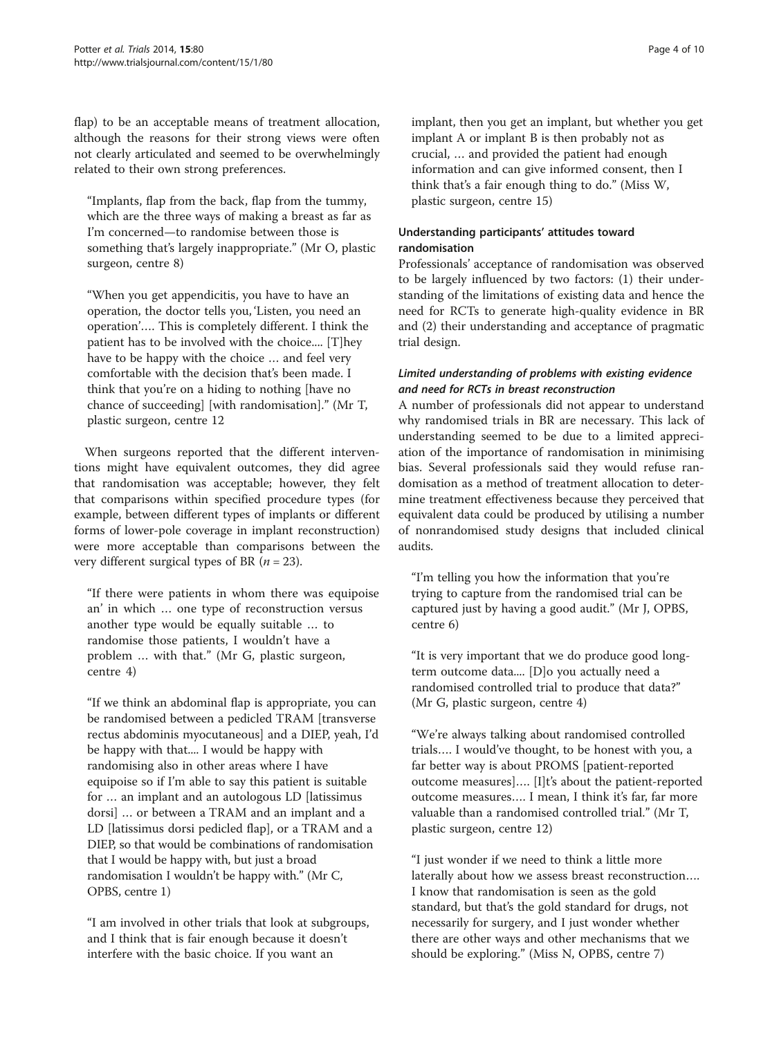flap) to be an acceptable means of treatment allocation, although the reasons for their strong views were often not clearly articulated and seemed to be overwhelmingly related to their own strong preferences.

"Implants, flap from the back, flap from the tummy, which are the three ways of making a breast as far as I'm concerned—to randomise between those is something that's largely inappropriate." (Mr O, plastic surgeon, centre 8)

"When you get appendicitis, you have to have an operation, the doctor tells you, 'Listen, you need an operation'…. This is completely different. I think the patient has to be involved with the choice.... [T]hey have to be happy with the choice … and feel very comfortable with the decision that's been made. I think that you're on a hiding to nothing [have no chance of succeeding] [with randomisation]." (Mr T, plastic surgeon, centre 12

When surgeons reported that the different interventions might have equivalent outcomes, they did agree that randomisation was acceptable; however, they felt that comparisons within specified procedure types (for example, between different types of implants or different forms of lower-pole coverage in implant reconstruction) were more acceptable than comparisons between the very different surgical types of BR ( $n = 23$ ).

"If there were patients in whom there was equipoise an' in which … one type of reconstruction versus another type would be equally suitable … to randomise those patients, I wouldn't have a problem … with that." (Mr G, plastic surgeon, centre 4)

"If we think an abdominal flap is appropriate, you can be randomised between a pedicled TRAM [transverse rectus abdominis myocutaneous] and a DIEP, yeah, I'd be happy with that.... I would be happy with randomising also in other areas where I have equipoise so if I'm able to say this patient is suitable for … an implant and an autologous LD [latissimus dorsi] … or between a TRAM and an implant and a LD [latissimus dorsi pedicled flap], or a TRAM and a DIEP, so that would be combinations of randomisation that I would be happy with, but just a broad randomisation I wouldn't be happy with." (Mr C, OPBS, centre 1)

"I am involved in other trials that look at subgroups, and I think that is fair enough because it doesn't interfere with the basic choice. If you want an

implant, then you get an implant, but whether you get implant A or implant B is then probably not as crucial, … and provided the patient had enough information and can give informed consent, then I think that's a fair enough thing to do." (Miss W, plastic surgeon, centre 15)

# Understanding participants' attitudes toward randomisation

Professionals' acceptance of randomisation was observed to be largely influenced by two factors: (1) their understanding of the limitations of existing data and hence the need for RCTs to generate high-quality evidence in BR and (2) their understanding and acceptance of pragmatic trial design.

# Limited understanding of problems with existing evidence and need for RCTs in breast reconstruction

A number of professionals did not appear to understand why randomised trials in BR are necessary. This lack of understanding seemed to be due to a limited appreciation of the importance of randomisation in minimising bias. Several professionals said they would refuse randomisation as a method of treatment allocation to determine treatment effectiveness because they perceived that equivalent data could be produced by utilising a number of nonrandomised study designs that included clinical audits.

"I'm telling you how the information that you're trying to capture from the randomised trial can be captured just by having a good audit." (Mr J, OPBS, centre 6)

"It is very important that we do produce good longterm outcome data.... [D]o you actually need a randomised controlled trial to produce that data?" (Mr G, plastic surgeon, centre 4)

"We're always talking about randomised controlled trials…. I would've thought, to be honest with you, a far better way is about PROMS [patient-reported outcome measures]…. [I]t's about the patient-reported outcome measures…. I mean, I think it's far, far more valuable than a randomised controlled trial." (Mr T, plastic surgeon, centre 12)

"I just wonder if we need to think a little more laterally about how we assess breast reconstruction…. I know that randomisation is seen as the gold standard, but that's the gold standard for drugs, not necessarily for surgery, and I just wonder whether there are other ways and other mechanisms that we should be exploring." (Miss N, OPBS, centre 7)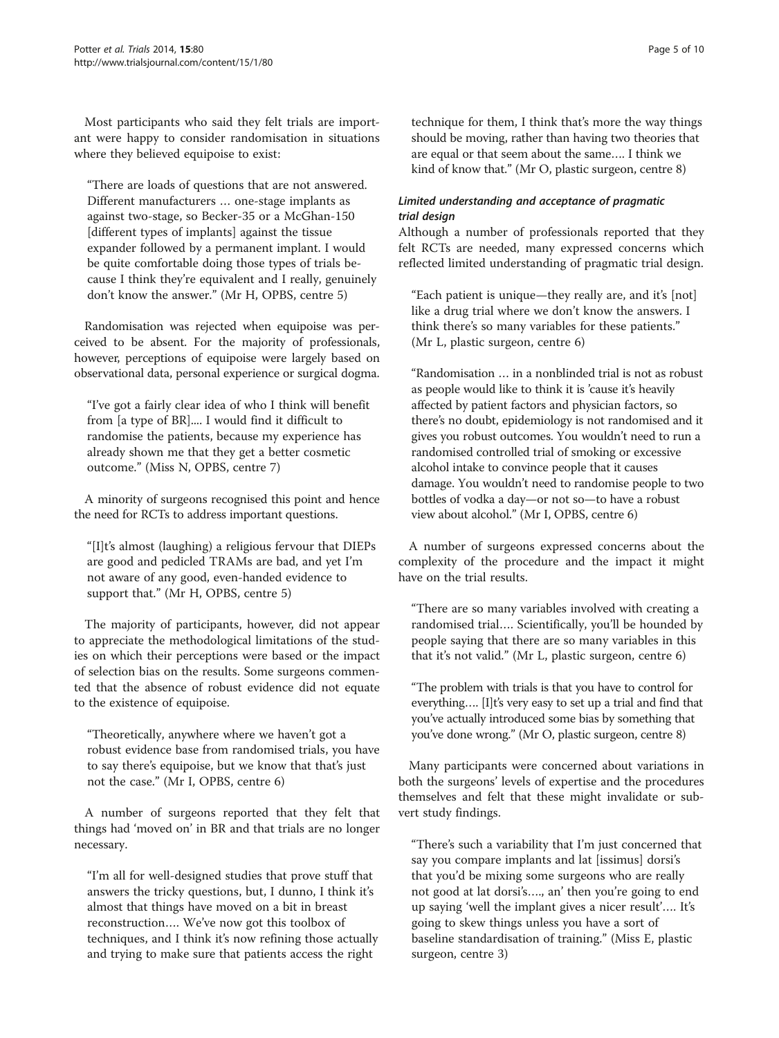Most participants who said they felt trials are important were happy to consider randomisation in situations where they believed equipoise to exist:

"There are loads of questions that are not answered. Different manufacturers … one-stage implants as against two-stage, so Becker-35 or a McGhan-150 [different types of implants] against the tissue expander followed by a permanent implant. I would be quite comfortable doing those types of trials because I think they're equivalent and I really, genuinely don't know the answer." (Mr H, OPBS, centre 5)

Randomisation was rejected when equipoise was perceived to be absent. For the majority of professionals, however, perceptions of equipoise were largely based on observational data, personal experience or surgical dogma.

"I've got a fairly clear idea of who I think will benefit from [a type of BR].... I would find it difficult to randomise the patients, because my experience has already shown me that they get a better cosmetic outcome." (Miss N, OPBS, centre 7)

A minority of surgeons recognised this point and hence the need for RCTs to address important questions.

"[I]t's almost (laughing) a religious fervour that DIEPs are good and pedicled TRAMs are bad, and yet I'm not aware of any good, even-handed evidence to support that." (Mr H, OPBS, centre 5)

The majority of participants, however, did not appear to appreciate the methodological limitations of the studies on which their perceptions were based or the impact of selection bias on the results. Some surgeons commented that the absence of robust evidence did not equate to the existence of equipoise.

"Theoretically, anywhere where we haven't got a robust evidence base from randomised trials, you have to say there's equipoise, but we know that that's just not the case." (Mr I, OPBS, centre 6)

A number of surgeons reported that they felt that things had 'moved on' in BR and that trials are no longer necessary.

"I'm all for well-designed studies that prove stuff that answers the tricky questions, but, I dunno, I think it's almost that things have moved on a bit in breast reconstruction…. We've now got this toolbox of techniques, and I think it's now refining those actually and trying to make sure that patients access the right

technique for them, I think that's more the way things should be moving, rather than having two theories that are equal or that seem about the same…. I think we kind of know that." (Mr O, plastic surgeon, centre 8)

# Limited understanding and acceptance of pragmatic trial design

Although a number of professionals reported that they felt RCTs are needed, many expressed concerns which reflected limited understanding of pragmatic trial design.

"Each patient is unique—they really are, and it's [not] like a drug trial where we don't know the answers. I think there's so many variables for these patients." (Mr L, plastic surgeon, centre 6)

"Randomisation … in a nonblinded trial is not as robust as people would like to think it is 'cause it's heavily affected by patient factors and physician factors, so there's no doubt, epidemiology is not randomised and it gives you robust outcomes. You wouldn't need to run a randomised controlled trial of smoking or excessive alcohol intake to convince people that it causes damage. You wouldn't need to randomise people to two bottles of vodka a day—or not so—to have a robust view about alcohol." (Mr I, OPBS, centre 6)

A number of surgeons expressed concerns about the complexity of the procedure and the impact it might have on the trial results.

"There are so many variables involved with creating a randomised trial…. Scientifically, you'll be hounded by people saying that there are so many variables in this that it's not valid." (Mr L, plastic surgeon, centre 6)

"The problem with trials is that you have to control for everything.... [I]t's very easy to set up a trial and find that you've actually introduced some bias by something that you've done wrong." (Mr O, plastic surgeon, centre 8)

Many participants were concerned about variations in both the surgeons' levels of expertise and the procedures themselves and felt that these might invalidate or subvert study findings.

"There's such a variability that I'm just concerned that say you compare implants and lat [issimus] dorsi's that you'd be mixing some surgeons who are really not good at lat dorsi's…., an' then you're going to end up saying 'well the implant gives a nicer result'…. It's going to skew things unless you have a sort of baseline standardisation of training." (Miss E, plastic surgeon, centre 3)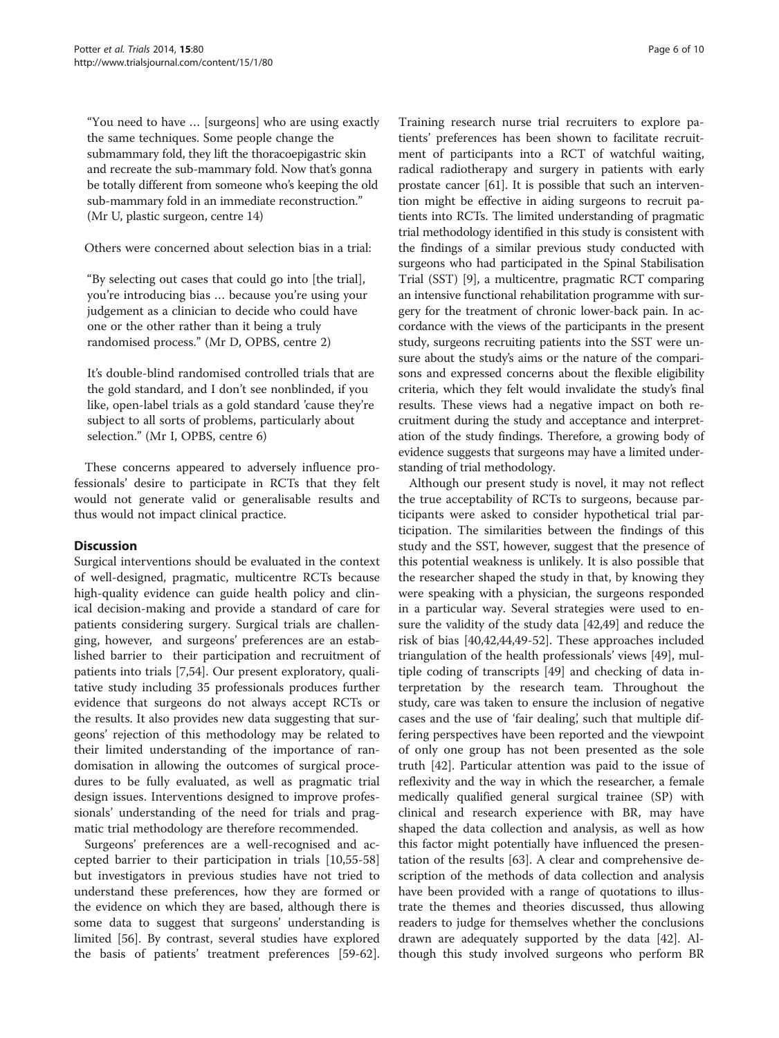"You need to have … [surgeons] who are using exactly the same techniques. Some people change the submammary fold, they lift the thoracoepigastric skin and recreate the sub-mammary fold. Now that's gonna be totally different from someone who's keeping the old sub-mammary fold in an immediate reconstruction." (Mr U, plastic surgeon, centre 14)

Others were concerned about selection bias in a trial:

"By selecting out cases that could go into [the trial], you're introducing bias … because you're using your judgement as a clinician to decide who could have one or the other rather than it being a truly randomised process." (Mr D, OPBS, centre 2)

It's double-blind randomised controlled trials that are the gold standard, and I don't see nonblinded, if you like, open-label trials as a gold standard 'cause they're subject to all sorts of problems, particularly about selection." (Mr I, OPBS, centre 6)

These concerns appeared to adversely influence professionals' desire to participate in RCTs that they felt would not generate valid or generalisable results and thus would not impact clinical practice.

# **Discussion**

Surgical interventions should be evaluated in the context of well-designed, pragmatic, multicentre RCTs because high-quality evidence can guide health policy and clinical decision-making and provide a standard of care for patients considering surgery. Surgical trials are challenging, however, and surgeons' preferences are an established barrier to their participation and recruitment of patients into trials [\[7](#page-7-0)[,54](#page-8-0)]. Our present exploratory, qualitative study including 35 professionals produces further evidence that surgeons do not always accept RCTs or the results. It also provides new data suggesting that surgeons' rejection of this methodology may be related to their limited understanding of the importance of randomisation in allowing the outcomes of surgical procedures to be fully evaluated, as well as pragmatic trial design issues. Interventions designed to improve professionals' understanding of the need for trials and pragmatic trial methodology are therefore recommended.

Surgeons' preferences are a well-recognised and accepted barrier to their participation in trials [\[10](#page-7-0)[,55-58](#page-8-0)] but investigators in previous studies have not tried to understand these preferences, how they are formed or the evidence on which they are based, although there is some data to suggest that surgeons' understanding is limited [[56\]](#page-8-0). By contrast, several studies have explored the basis of patients' treatment preferences [\[59-62](#page-8-0)].

Training research nurse trial recruiters to explore patients' preferences has been shown to facilitate recruitment of participants into a RCT of watchful waiting, radical radiotherapy and surgery in patients with early prostate cancer [[61](#page-8-0)]. It is possible that such an intervention might be effective in aiding surgeons to recruit patients into RCTs. The limited understanding of pragmatic trial methodology identified in this study is consistent with the findings of a similar previous study conducted with surgeons who had participated in the Spinal Stabilisation Trial (SST) [[9\]](#page-7-0), a multicentre, pragmatic RCT comparing an intensive functional rehabilitation programme with surgery for the treatment of chronic lower-back pain. In accordance with the views of the participants in the present study, surgeons recruiting patients into the SST were unsure about the study's aims or the nature of the comparisons and expressed concerns about the flexible eligibility criteria, which they felt would invalidate the study's final results. These views had a negative impact on both recruitment during the study and acceptance and interpretation of the study findings. Therefore, a growing body of evidence suggests that surgeons may have a limited understanding of trial methodology.

Although our present study is novel, it may not reflect the true acceptability of RCTs to surgeons, because participants were asked to consider hypothetical trial participation. The similarities between the findings of this study and the SST, however, suggest that the presence of this potential weakness is unlikely. It is also possible that the researcher shaped the study in that, by knowing they were speaking with a physician, the surgeons responded in a particular way. Several strategies were used to ensure the validity of the study data [\[42,49\]](#page-8-0) and reduce the risk of bias [[40,42,44,49-52\]](#page-8-0). These approaches included triangulation of the health professionals' views [[49\]](#page-8-0), multiple coding of transcripts [\[49](#page-8-0)] and checking of data interpretation by the research team. Throughout the study, care was taken to ensure the inclusion of negative cases and the use of 'fair dealing', such that multiple differing perspectives have been reported and the viewpoint of only one group has not been presented as the sole truth [[42](#page-8-0)]. Particular attention was paid to the issue of reflexivity and the way in which the researcher, a female medically qualified general surgical trainee (SP) with clinical and research experience with BR, may have shaped the data collection and analysis, as well as how this factor might potentially have influenced the presentation of the results [[63\]](#page-8-0). A clear and comprehensive description of the methods of data collection and analysis have been provided with a range of quotations to illustrate the themes and theories discussed, thus allowing readers to judge for themselves whether the conclusions drawn are adequately supported by the data [\[42](#page-8-0)]. Although this study involved surgeons who perform BR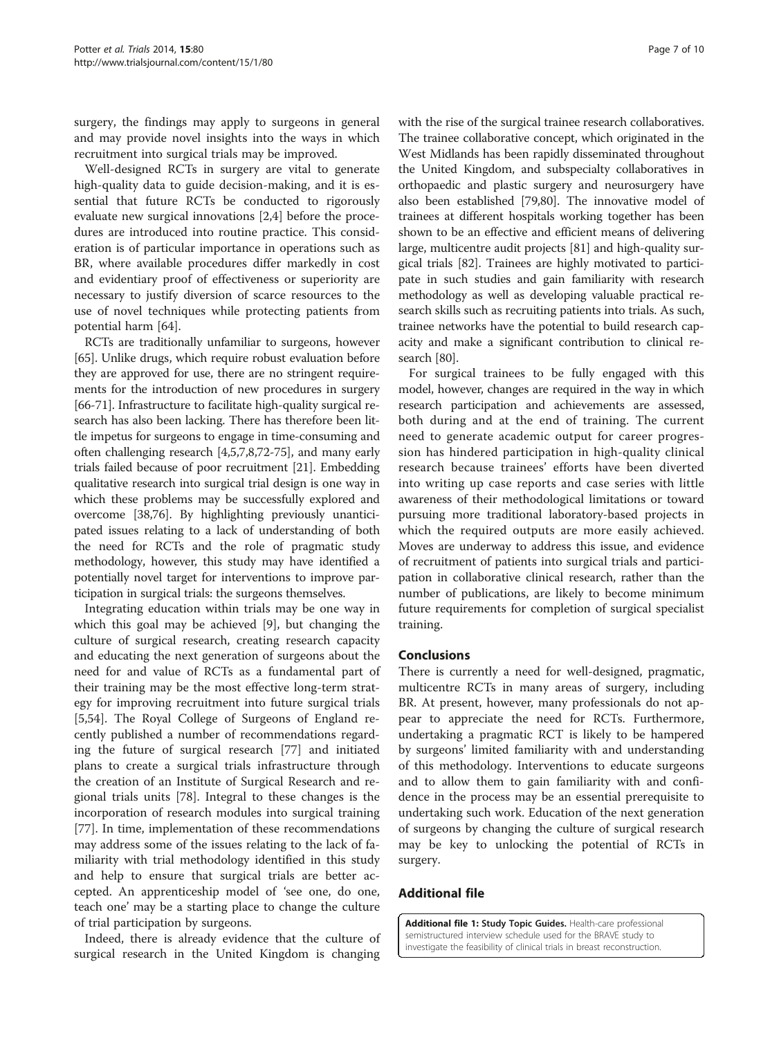<span id="page-6-0"></span>surgery, the findings may apply to surgeons in general and may provide novel insights into the ways in which recruitment into surgical trials may be improved.

Well-designed RCTs in surgery are vital to generate high-quality data to guide decision-making, and it is essential that future RCTs be conducted to rigorously evaluate new surgical innovations [\[2,4](#page-7-0)] before the procedures are introduced into routine practice. This consideration is of particular importance in operations such as BR, where available procedures differ markedly in cost and evidentiary proof of effectiveness or superiority are necessary to justify diversion of scarce resources to the use of novel techniques while protecting patients from potential harm [\[64](#page-8-0)].

RCTs are traditionally unfamiliar to surgeons, however [[65](#page-8-0)]. Unlike drugs, which require robust evaluation before they are approved for use, there are no stringent requirements for the introduction of new procedures in surgery [[66](#page-8-0)-[71\]](#page-8-0). Infrastructure to facilitate high-quality surgical research has also been lacking. There has therefore been little impetus for surgeons to engage in time-consuming and often challenging research [\[4,5,7,8,](#page-7-0)[72](#page-8-0)-[75](#page-8-0)], and many early trials failed because of poor recruitment [[21](#page-7-0)]. Embedding qualitative research into surgical trial design is one way in which these problems may be successfully explored and overcome [\[38,76](#page-8-0)]. By highlighting previously unanticipated issues relating to a lack of understanding of both the need for RCTs and the role of pragmatic study methodology, however, this study may have identified a potentially novel target for interventions to improve participation in surgical trials: the surgeons themselves.

Integrating education within trials may be one way in which this goal may be achieved [[9\]](#page-7-0), but changing the culture of surgical research, creating research capacity and educating the next generation of surgeons about the need for and value of RCTs as a fundamental part of their training may be the most effective long-term strategy for improving recruitment into future surgical trials [[5,](#page-7-0)[54\]](#page-8-0). The Royal College of Surgeons of England recently published a number of recommendations regarding the future of surgical research [[77\]](#page-8-0) and initiated plans to create a surgical trials infrastructure through the creation of an Institute of Surgical Research and regional trials units [[78](#page-8-0)]. Integral to these changes is the incorporation of research modules into surgical training [[77\]](#page-8-0). In time, implementation of these recommendations may address some of the issues relating to the lack of familiarity with trial methodology identified in this study and help to ensure that surgical trials are better accepted. An apprenticeship model of 'see one, do one, teach one' may be a starting place to change the culture of trial participation by surgeons.

Indeed, there is already evidence that the culture of surgical research in the United Kingdom is changing

with the rise of the surgical trainee research collaboratives. The trainee collaborative concept, which originated in the West Midlands has been rapidly disseminated throughout the United Kingdom, and subspecialty collaboratives in orthopaedic and plastic surgery and neurosurgery have also been established [\[79](#page-8-0)[,80\]](#page-9-0). The innovative model of trainees at different hospitals working together has been shown to be an effective and efficient means of delivering large, multicentre audit projects [[81](#page-9-0)] and high-quality surgical trials [\[82\]](#page-9-0). Trainees are highly motivated to participate in such studies and gain familiarity with research methodology as well as developing valuable practical research skills such as recruiting patients into trials. As such, trainee networks have the potential to build research capacity and make a significant contribution to clinical research [[80\]](#page-9-0).

For surgical trainees to be fully engaged with this model, however, changes are required in the way in which research participation and achievements are assessed, both during and at the end of training. The current need to generate academic output for career progression has hindered participation in high-quality clinical research because trainees' efforts have been diverted into writing up case reports and case series with little awareness of their methodological limitations or toward pursuing more traditional laboratory-based projects in which the required outputs are more easily achieved. Moves are underway to address this issue, and evidence of recruitment of patients into surgical trials and participation in collaborative clinical research, rather than the number of publications, are likely to become minimum future requirements for completion of surgical specialist training.

# Conclusions

There is currently a need for well-designed, pragmatic, multicentre RCTs in many areas of surgery, including BR. At present, however, many professionals do not appear to appreciate the need for RCTs. Furthermore, undertaking a pragmatic RCT is likely to be hampered by surgeons' limited familiarity with and understanding of this methodology. Interventions to educate surgeons and to allow them to gain familiarity with and confidence in the process may be an essential prerequisite to undertaking such work. Education of the next generation of surgeons by changing the culture of surgical research may be key to unlocking the potential of RCTs in surgery.

# Additional file

[Additional file 1:](http://www.biomedcentral.com/content/supplementary/1745-6215-15-80-S1.doc) Study Topic Guides. Health-care professional semistructured interview schedule used for the BRAVE study to investigate the feasibility of clinical trials in breast reconstruction.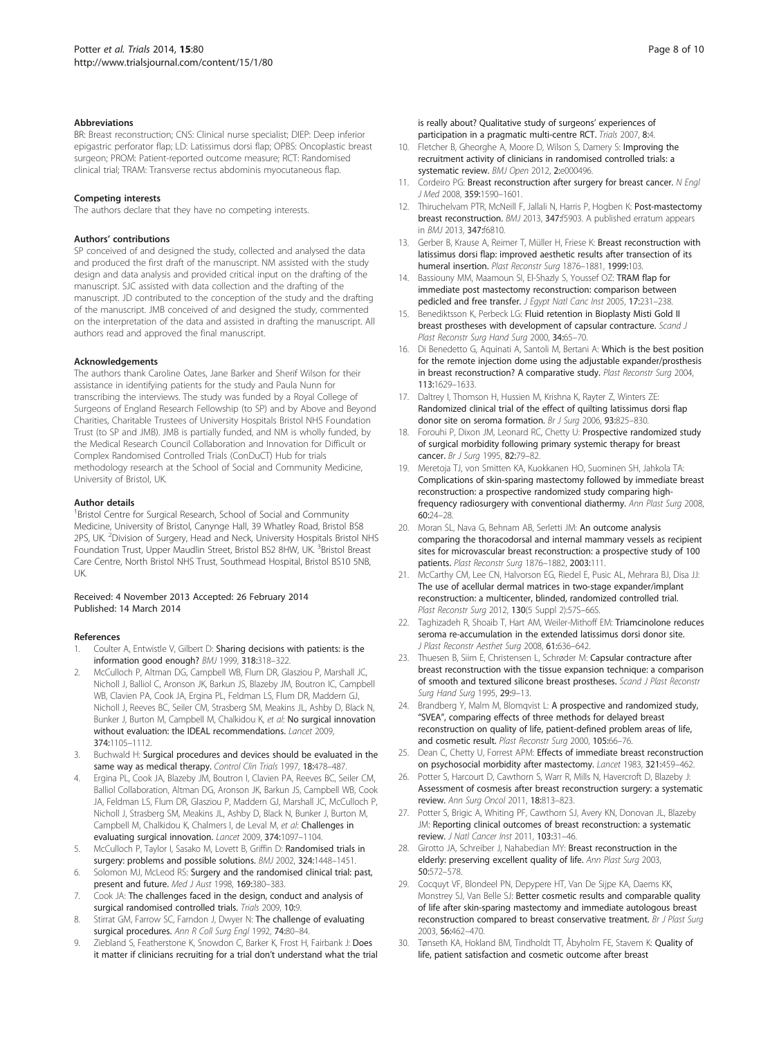#### <span id="page-7-0"></span>**Abbreviations**

BR: Breast reconstruction; CNS: Clinical nurse specialist; DIEP: Deep inferior epigastric perforator flap; LD: Latissimus dorsi flap; OPBS: Oncoplastic breast surgeon; PROM: Patient-reported outcome measure; RCT: Randomised clinical trial; TRAM: Transverse rectus abdominis myocutaneous flap.

#### Competing interests

The authors declare that they have no competing interests.

#### Authors' contributions

SP conceived of and designed the study, collected and analysed the data and produced the first draft of the manuscript. NM assisted with the study design and data analysis and provided critical input on the drafting of the manuscript. SJC assisted with data collection and the drafting of the manuscript. JD contributed to the conception of the study and the drafting of the manuscript. JMB conceived of and designed the study, commented on the interpretation of the data and assisted in drafting the manuscript. All authors read and approved the final manuscript.

#### Acknowledgements

The authors thank Caroline Oates, Jane Barker and Sherif Wilson for their assistance in identifying patients for the study and Paula Nunn for transcribing the interviews. The study was funded by a Royal College of Surgeons of England Research Fellowship (to SP) and by Above and Beyond Charities, Charitable Trustees of University Hospitals Bristol NHS Foundation Trust (to SP and JMB). JMB is partially funded, and NM is wholly funded, by the Medical Research Council Collaboration and Innovation for Difficult or Complex Randomised Controlled Trials (ConDuCT) Hub for trials methodology research at the School of Social and Community Medicine, University of Bristol, UK.

#### Author details

<sup>1</sup> Bristol Centre for Surgical Research, School of Social and Community Medicine, University of Bristol, Canynge Hall, 39 Whatley Road, Bristol BS8 2PS, UK. <sup>2</sup>Division of Surgery, Head and Neck, University Hospitals Bristol NHS Foundation Trust, Upper Maudlin Street, Bristol BS2 8HW, UK. <sup>3</sup>Bristol Breast Care Centre, North Bristol NHS Trust, Southmead Hospital, Bristol BS10 5NB, UK.

### Received: 4 November 2013 Accepted: 26 February 2014 Published: 14 March 2014

#### References

- Coulter A, Entwistle V, Gilbert D: Sharing decisions with patients: is the information good enough? BMJ 1999, 318:318–322.
- 2. McCulloch P, Altman DG, Campbell WB, Flum DR, Glasziou P, Marshall JC, Nicholl J, Balliol C, Aronson JK, Barkun JS, Blazeby JM, Boutron IC, Campbell WB, Clavien PA, Cook JA, Ergina PL, Feldman LS, Flum DR, Maddern GJ, Nicholl J, Reeves BC, Seiler CM, Strasberg SM, Meakins JL, Ashby D, Black N, Bunker J, Burton M, Campbell M, Chalkidou K, et al: No surgical innovation without evaluation: the IDEAL recommendations. Lancet 2009, 374:1105–1112.
- 3. Buchwald H: Surgical procedures and devices should be evaluated in the same way as medical therapy. Control Clin Trials 1997, 18:478-487.
- 4. Ergina PL, Cook JA, Blazeby JM, Boutron I, Clavien PA, Reeves BC, Seiler CM, Balliol Collaboration, Altman DG, Aronson JK, Barkun JS, Campbell WB, Cook JA, Feldman LS, Flum DR, Glasziou P, Maddern GJ, Marshall JC, McCulloch P, Nicholl J, Strasberg SM, Meakins JL, Ashby D, Black N, Bunker J, Burton M, Campbell M, Chalkidou K, Chalmers I, de Leval M, et al: Challenges in evaluating surgical innovation. Lancet 2009, 374:1097–1104.
- 5. McCulloch P, Taylor I, Sasako M, Lovett B, Griffin D: Randomised trials in surgery: problems and possible solutions. BMJ 2002, 324:1448–1451.
- 6. Solomon MJ, McLeod RS: Surgery and the randomised clinical trial: past, present and future. Med J Aust 1998, 169:380–383.
- 7. Cook JA: The challenges faced in the design, conduct and analysis of surgical randomised controlled trials. Trials 2009, 10:9.
- Stirrat GM, Farrow SC, Farndon J, Dwyer N: The challenge of evaluating surgical procedures. Ann R Coll Surg Engl 1992, 74:80-84.
- 9. Ziebland S, Featherstone K, Snowdon C, Barker K, Frost H, Fairbank J: Does it matter if clinicians recruiting for a trial don't understand what the trial

is really about? Qualitative study of surgeons' experiences of participation in a pragmatic multi-centre RCT. Trials 2007, 8:4.

- 10. Fletcher B, Gheorghe A, Moore D, Wilson S, Damery S: Improving the recruitment activity of clinicians in randomised controlled trials: a systematic review. BMJ Open 2012, 2:e000496.
- 11. Cordeiro PG: Breast reconstruction after surgery for breast cancer. N Engl J Med 2008, 359:1590–1601.
- 12. Thiruchelvam PTR, McNeill F, Jallali N, Harris P, Hogben K: Post-mastectomy breast reconstruction. BMJ 2013, 347:f5903. A published erratum appears in BMJ 2013, 347:f6810.
- 13. Gerber B, Krause A, Reimer T, Müller H, Friese K: Breast reconstruction with latissimus dorsi flap: improved aesthetic results after transection of its humeral insertion. Plast Reconstr Surg 1876-1881, 1999:103.
- 14. Bassiouny MM, Maamoun SI, El-Shazly S, Youssef OZ: TRAM flap for immediate post mastectomy reconstruction: comparison between pedicled and free transfer. J Egypt Natl Canc Inst 2005, 17:231–238.
- 15. Benediktsson K, Perbeck LG: Fluid retention in Bioplasty Misti Gold II breast prostheses with development of capsular contracture. Scand J Plast Reconstr Surg Hand Surg 2000, 34:65–70.
- 16. Di Benedetto G, Aquinati A, Santoli M, Bertani A: Which is the best position for the remote injection dome using the adjustable expander/prosthesis in breast reconstruction? A comparative study. Plast Reconstr Surg 2004, 113:1629–1633.
- 17. Daltrey I, Thomson H, Hussien M, Krishna K, Rayter Z, Winters ZE: Randomized clinical trial of the effect of quilting latissimus dorsi flap donor site on seroma formation. Br J Surg 2006, 93:825–830.
- 18. Forouhi P, Dixon JM, Leonard RC, Chetty U: Prospective randomized study of surgical morbidity following primary systemic therapy for breast cancer. Br J Surg 1995, 82:79-82.
- 19. Meretoja TJ, von Smitten KA, Kuokkanen HO, Suominen SH, Jahkola TA: Complications of skin-sparing mastectomy followed by immediate breast reconstruction: a prospective randomized study comparing highfrequency radiosurgery with conventional diathermy. Ann Plast Surg 2008, 60:24–28.
- 20. Moran SL, Nava G, Behnam AB, Serletti JM: An outcome analysis comparing the thoracodorsal and internal mammary vessels as recipient sites for microvascular breast reconstruction: a prospective study of 100 patients. Plast Reconstr Surg 1876-1882, 2003:111
- 21. McCarthy CM, Lee CN, Halvorson EG, Riedel E, Pusic AL, Mehrara BJ, Disa JJ: The use of acellular dermal matrices in two-stage expander/implant reconstruction: a multicenter, blinded, randomized controlled trial. Plast Reconstr Surg 2012, 130(5 Suppl 2):57S–66S.
- 22. Taghizadeh R, Shoaib T, Hart AM, Weiler-Mithoff EM: Triamcinolone reduces seroma re-accumulation in the extended latissimus dorsi donor site. J Plast Reconstr Aesthet Surg 2008, 61:636–642.
- 23. Thuesen B, Siim E, Christensen L, Schrøder M: Capsular contracture after breast reconstruction with the tissue expansion technique: a comparison of smooth and textured silicone breast prostheses. Scand J Plast Reconstr Surg Hand Surg 1995, 29:9–13.
- Brandberg Y, Malm M, Blomqvist L: A prospective and randomized study, "SVEA", comparing effects of three methods for delayed breast reconstruction on quality of life, patient-defined problem areas of life, and cosmetic result. Plast Reconstr Surg 2000, 105:66–76.
- 25. Dean C, Chetty U, Forrest APM: Effects of immediate breast reconstruction on psychosocial morbidity after mastectomy. Lancet 1983, 321:459–462.
- 26. Potter S, Harcourt D, Cawthorn S, Warr R, Mills N, Havercroft D, Blazeby J: Assessment of cosmesis after breast reconstruction surgery: a systematic review. Ann Surg Oncol 2011, 18:813–823.
- 27. Potter S, Brigic A, Whiting PF, Cawthorn SJ, Avery KN, Donovan JL, Blazeby JM: Reporting clinical outcomes of breast reconstruction: a systematic review. J Natl Cancer Inst 2011, 103:31–46.
- 28. Girotto JA, Schreiber J, Nahabedian MY: Breast reconstruction in the elderly: preserving excellent quality of life. Ann Plast Surg 2003, 50:572–578.
- 29. Cocquyt VF, Blondeel PN, Depypere HT, Van De Sijpe KA, Daems KK, Monstrey SJ, Van Belle SJ: Better cosmetic results and comparable quality of life after skin-sparing mastectomy and immediate autologous breast reconstruction compared to breast conservative treatment. Br J Plast Surg 2003, 56:462–470.
- 30. Tønseth KA, Hokland BM, Tindholdt TT, Åbyholm FE, Stavem K: Quality of life, patient satisfaction and cosmetic outcome after breast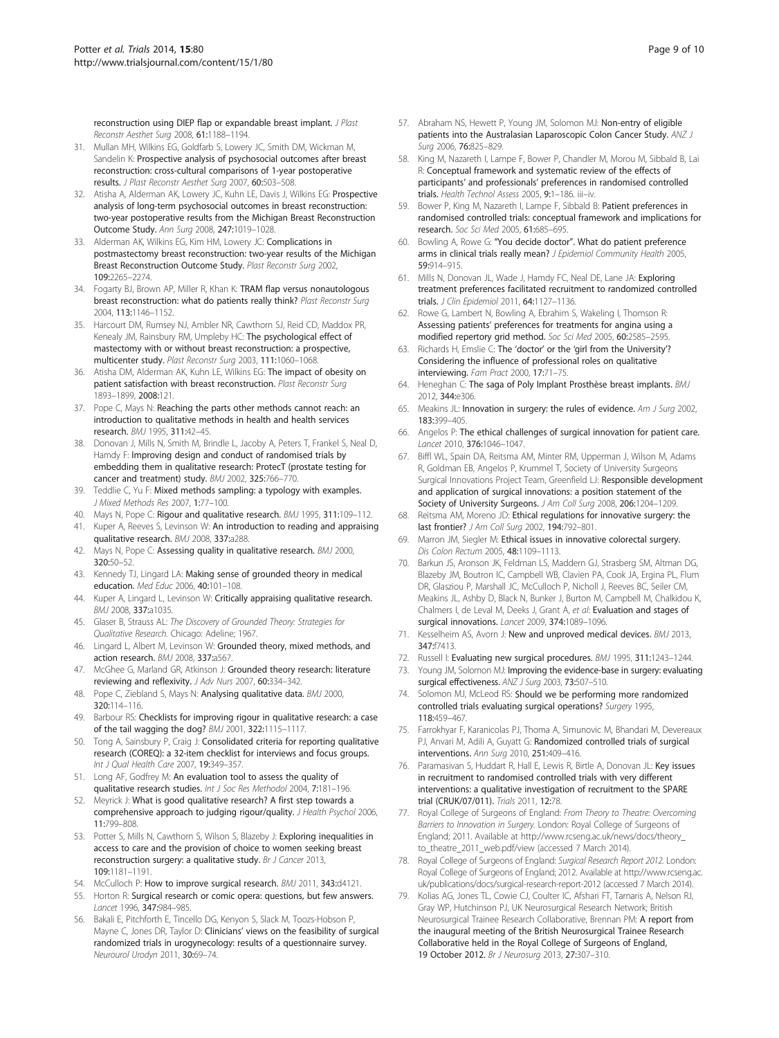<span id="page-8-0"></span>reconstruction using DIEP flap or expandable breast implant. J Plast Reconstr Aesthet Surg 2008, 61:1188–1194.

- 31. Mullan MH, Wilkins EG, Goldfarb S, Lowery JC, Smith DM, Wickman M, Sandelin K: Prospective analysis of psychosocial outcomes after breast reconstruction: cross-cultural comparisons of 1-year postoperative results. J Plast Reconstr Aesthet Surg 2007, 60:503–508.
- 32. Atisha A, Alderman AK, Lowery JC, Kuhn LE, Davis J, Wilkins EG: Prospective analysis of long-term psychosocial outcomes in breast reconstruction: two-year postoperative results from the Michigan Breast Reconstruction Outcome Study. Ann Surg 2008, 247:1019–1028.
- 33. Alderman AK, Wilkins EG, Kim HM, Lowery JC: Complications in postmastectomy breast reconstruction: two-year results of the Michigan Breast Reconstruction Outcome Study. Plast Reconstr Surg 2002, 109:2265–2274.
- 34. Fogarty BJ, Brown AP, Miller R, Khan K: TRAM flap versus nonautologous breast reconstruction: what do patients really think? Plast Reconstr Surg 2004, 113:1146–1152.
- 35. Harcourt DM, Rumsey NJ, Ambler NR, Cawthorn SJ, Reid CD, Maddox PR, Kenealy JM, Rainsbury RM, Umpleby HC: The psychological effect of mastectomy with or without breast reconstruction: a prospective, multicenter study. Plast Reconstr Surg 2003, 111:1060–1068.
- 36. Atisha DM, Alderman AK, Kuhn LE, Wilkins EG: The impact of obesity on patient satisfaction with breast reconstruction. Plast Reconstr Surg 1893–1899, 2008:121.
- 37. Pope C, Mays N: Reaching the parts other methods cannot reach: an introduction to qualitative methods in health and health services research. BMJ 1995, 311:42–45.
- 38. Donovan J, Mills N, Smith M, Brindle L, Jacoby A, Peters T, Frankel S, Neal D, Hamdy F: Improving design and conduct of randomised trials by embedding them in qualitative research: ProtecT (prostate testing for cancer and treatment) study. BMJ 2002, 325:766–770.
- Teddlie C, Yu F: Mixed methods sampling: a typology with examples. J Mixed Methods Res 2007, 1:77–100.
- 40. Mays N, Pope C: Rigour and qualitative research. BMJ 1995, 311:109-112.
- 41. Kuper A, Reeves S, Levinson W: An introduction to reading and appraising qualitative research. BMJ 2008, 337:a288.
- 42. Mays N, Pope C: Assessing quality in qualitative research. BMJ 2000, 320:50–52.
- 43. Kennedy TJ, Lingard LA: Making sense of grounded theory in medical education. Med Educ 2006, 40:101–108.
- 44. Kuper A, Lingard L, Levinson W: Critically appraising qualitative research. BMJ 2008, 337:a1035.
- 45. Glaser B, Strauss AL: The Discovery of Grounded Theory: Strategies for Qualitative Research. Chicago: Adeline; 1967.
- 46. Lingard L, Albert M, Levinson W: Grounded theory, mixed methods, and action research. BMJ 2008, 337:a567.
- 47. McGhee G, Marland GR, Atkinson J: Grounded theory research: literature reviewing and reflexivity. J Adv Nurs 2007, 60:334–342.
- 48. Pope C, Ziebland S, Mays N: Analysing qualitative data. BMJ 2000, 320:114–116.
- 49. Barbour RS: Checklists for improving rigour in qualitative research: a case of the tail wagging the dog? BMJ 2001, 322:1115–1117.
- 50. Tong A, Sainsbury P, Craig J: Consolidated criteria for reporting qualitative research (COREQ): a 32-item checklist for interviews and focus groups. Int J Qual Health Care 2007, 19:349–357.
- 51. Long AF, Godfrey M: An evaluation tool to assess the quality of qualitative research studies. Int J Soc Res Methodol 2004, 7:181–196.
- 52. Meyrick J: What is good qualitative research? A first step towards a comprehensive approach to judging rigour/quality. J Health Psychol 2006, 11:799–808.
- 53. Potter S, Mills N, Cawthorn S, Wilson S, Blazeby J: Exploring inequalities in access to care and the provision of choice to women seeking breast reconstruction surgery: a qualitative study. Br J Cancer 2013, 109:1181–1191.
- 54. McCulloch P: How to improve surgical research. BMJ 2011, 343:d4121.
- 55. Horton R: Surgical research or comic opera: questions, but few answers. Lancet 1996, 347:984–985.
- 56. Bakali E, Pitchforth E, Tincello DG, Kenyon S, Slack M, Toozs-Hobson P, Mayne C, Jones DR, Taylor D: Clinicians' views on the feasibility of surgical randomized trials in urogynecology: results of a questionnaire survey. Neurourol Urodyn 2011, 30:69–74.
- 57. Abraham NS, Hewett P, Young JM, Solomon MJ: Non-entry of eligible patients into the Australasian Laparoscopic Colon Cancer Study. ANZ J Surg 2006, 76:825–829.
- 58. King M, Nazareth I, Lampe F, Bower P, Chandler M, Morou M, Sibbald B, Lai R: Conceptual framework and systematic review of the effects of participants' and professionals' preferences in randomised controlled trials. Health Technol Assess 2005, 9:1–186. iii–iv.
- 59. Bower P, King M, Nazareth I, Lampe F, Sibbald B: Patient preferences in randomised controlled trials: conceptual framework and implications for research. Soc Sci Med 2005, 61:685–695.
- Bowling A, Rowe G: "You decide doctor". What do patient preference arms in clinical trials really mean? J Epidemiol Community Health 2005, 59:914–915.
- 61. Mills N, Donovan JL, Wade J, Hamdy FC, Neal DE, Lane JA: Exploring treatment preferences facilitated recruitment to randomized controlled trials. J Clin Epidemiol 2011, 64:1127-1136.
- 62. Rowe G, Lambert N, Bowling A, Ebrahim S, Wakeling I, Thomson R: Assessing patients' preferences for treatments for angina using a modified repertory grid method. Soc Sci Med 2005, 60:2585–2595.
- 63. Richards H, Emslie C: The 'doctor' or the 'girl from the University'? Considering the influence of professional roles on qualitative interviewing. Fam Pract 2000, 17:71–75.
- 64. Heneghan C: The saga of Poly Implant Prosthèse breast implants. BMJ 2012, 344:e306.
- 65. Meakins JL: Innovation in surgery: the rules of evidence. Am J Surg 2002, 183:399–405.
- 66. Angelos P: The ethical challenges of surgical innovation for patient care. Lancet 2010, 376:1046–1047.
- 67. Biffl WL, Spain DA, Reitsma AM, Minter RM, Upperman J, Wilson M, Adams R, Goldman EB, Angelos P, Krummel T, Society of University Surgeons Surgical Innovations Project Team, Greenfield LJ: Responsible development and application of surgical innovations: a position statement of the Society of University Surgeons. J Am Coll Surg 2008, 206:1204-1209.
- Reitsma AM, Moreno JD: Ethical regulations for innovative surgery: the last frontier? J Am Coll Surg 2002, 194:792–801.
- 69. Marron JM, Siegler M: Ethical issues in innovative colorectal surgery. Dis Colon Rectum 2005, 48:1109–1113.
- 70. Barkun JS, Aronson JK, Feldman LS, Maddern GJ, Strasberg SM, Altman DG, Blazeby JM, Boutron IC, Campbell WB, Clavien PA, Cook JA, Ergina PL, Flum DR, Glasziou P, Marshall JC, McCulloch P, Nicholl J, Reeves BC, Seiler CM, Meakins JL, Ashby D, Black N, Bunker J, Burton M, Campbell M, Chalkidou K, Chalmers I, de Leval M, Deeks J, Grant A, et al: Evaluation and stages of surgical innovations. Lancet 2009, 374:1089–1096.
- 71. Kesselheim AS, Avorn J: New and unproved medical devices. BMJ 2013, 347:f7413.
- 72. Russell I: Evaluating new surgical procedures. BMJ 1995, 311:1243-1244.
- 73. Young JM, Solomon MJ: Improving the evidence-base in surgery: evaluating surgical effectiveness. ANZ J Surg 2003, 73:507–510.
- 74. Solomon MJ, McLeod RS: Should we be performing more randomized controlled trials evaluating surgical operations? Surgery 1995, 118:459–467.
- 75. Farrokhyar F, Karanicolas PJ, Thoma A, Simunovic M, Bhandari M, Devereaux PJ, Anvari M, Adili A, Guyatt G: Randomized controlled trials of surgical interventions. Ann Surg 2010, 251:409–416.
- 76. Paramasivan S, Huddart R, Hall E, Lewis R, Birtle A, Donovan JL: Key issues in recruitment to randomised controlled trials with very different interventions: a qualitative investigation of recruitment to the SPARE trial (CRUK/07/011). Trials 2011, 12:78.
- 77. Royal College of Surgeons of England: From Theory to Theatre: Overcoming Barriers to Innovation in Surgery. London: Royal College of Surgeons of England; 2011. Available at [http://www.rcseng.ac.uk/news/docs/theory\\_](http://www.rcseng.ac.uk/news/docs/theory_to_theatre_2011_web.pdf/view) [to\\_theatre\\_2011\\_web.pdf/view](http://www.rcseng.ac.uk/news/docs/theory_to_theatre_2011_web.pdf/view) (accessed 7 March 2014).
- 78. Royal College of Surgeons of England: Surgical Research Report 2012. London: Royal College of Surgeons of England; 2012. Available at [http://www.rcseng.ac.](http://www.rcseng.ac.uk/publications/docs/surgical-research-report-2012) [uk/publications/docs/surgical-research-report-2012](http://www.rcseng.ac.uk/publications/docs/surgical-research-report-2012) (accessed 7 March 2014).
- 79. Kolias AG, Jones TL, Cowie CJ, Coulter IC, Afshari FT, Tarnaris A, Nelson RJ, Gray WP, Hutchinson PJ, UK Neurosurgical Research Network; British Neurosurgical Trainee Research Collaborative, Brennan PM: A report from the inaugural meeting of the British Neurosurgical Trainee Research Collaborative held in the Royal College of Surgeons of England, 19 October 2012. Br J Neurosurg 2013, 27:307–310.